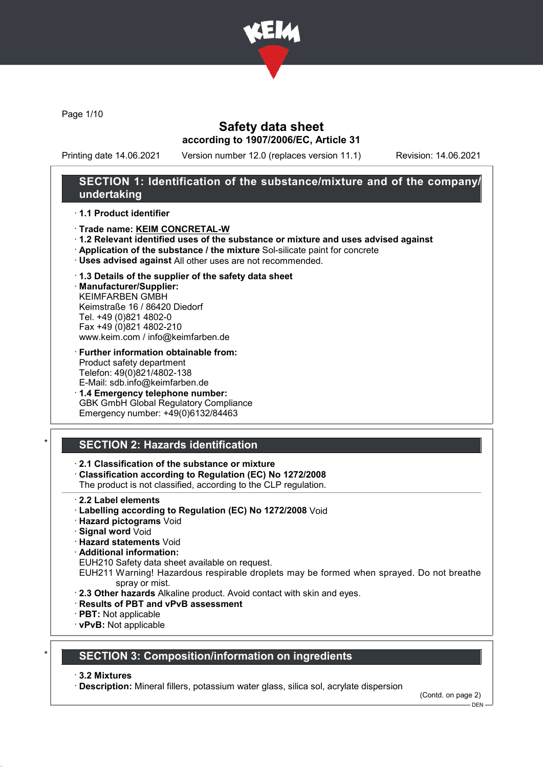

Page 1/10

## Safety data sheet according to 1907/2006/EC, Article 31

Printing date 14.06.2021 Version number 12.0 (replaces version 11.1) Revision: 14.06.2021

## SECTION 1: Identification of the substance/mixture and of the company/ undertaking

#### · 1.1 Product identifier

- · Trade name: KEIM CONCRETAL-W
- · 1.2 Relevant identified uses of the substance or mixture and uses advised against
- · Application of the substance / the mixture Sol-silicate paint for concrete
- · Uses advised against All other uses are not recommended.

#### · 1.3 Details of the supplier of the safety data sheet

· Manufacturer/Supplier: KEIMFARBEN GMBH Keimstraße 16 / 86420 Diedorf Tel. +49 (0)821 4802-0 Fax +49 (0)821 4802-210 www.keim.com / info@keimfarben.de

- · Further information obtainable from: Product safety department Telefon: 49(0)821/4802-138 E-Mail: sdb.info@keimfarben.de
- · 1.4 Emergency telephone number: GBK GmbH Global Regulatory Compliance Emergency number: +49(0)6132/84463

# **SECTION 2: Hazards identification**

### · 2.1 Classification of the substance or mixture

· Classification according to Regulation (EC) No 1272/2008

The product is not classified, according to the CLP regulation.

- · 2.2 Label elements
- · Labelling according to Regulation (EC) No 1272/2008 Void
- · Hazard pictograms Void
- · Signal word Void
- · Hazard statements Void
- · Additional information:

EUH210 Safety data sheet available on request.

EUH211 Warning! Hazardous respirable droplets may be formed when sprayed. Do not breathe spray or mist.

- · 2.3 Other hazards Alkaline product. Avoid contact with skin and eyes.
- · Results of PBT and vPvB assessment
- · PBT: Not applicable
- · vPvB: Not applicable

### **SECTION 3: Composition/information on ingredients**

#### · 3.2 Mixtures

· Description: Mineral fillers, potassium water glass, silica sol, acrylate dispersion

(Contd. on page 2)

 $-$  DEN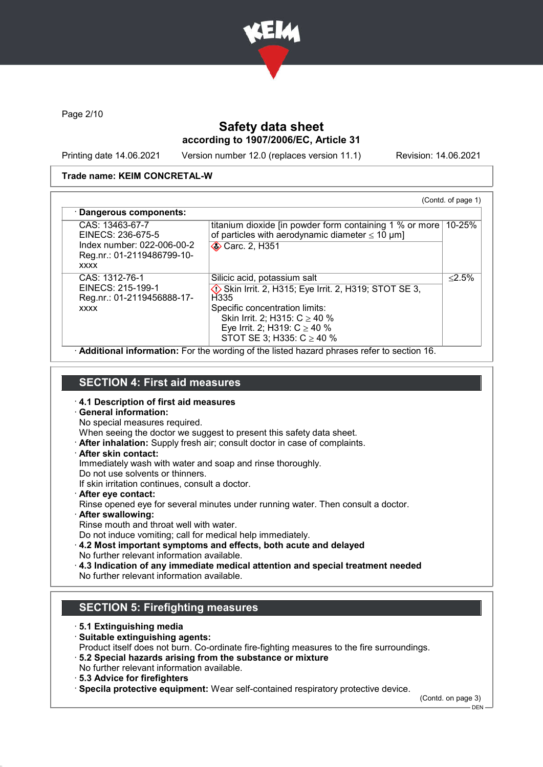

Page 2/10

# Safety data sheet according to 1907/2006/EC, Article 31

Printing date 14.06.2021 Version number 12.0 (replaces version 11.1) Revision: 14.06.2021

#### Trade name: KEIM CONCRETAL-W

| (Contd. of page 1)<br>· Dangerous components:                                                                   |                                                                                                                                                                                                                                                                    |           |
|-----------------------------------------------------------------------------------------------------------------|--------------------------------------------------------------------------------------------------------------------------------------------------------------------------------------------------------------------------------------------------------------------|-----------|
| CAS: 13463-67-7<br>EINECS: 236-675-5<br>Index number: 022-006-00-2<br>Reg.nr.: 01-2119486799-10-<br><b>XXXX</b> | titanium dioxide [in powder form containing 1 % or more $\vert$ 10-25%<br>of particles with aerodynamic diameter $\leq 10 \mu m$ ]<br><b>◆ Carc. 2, H351</b>                                                                                                       |           |
| CAS: 1312-76-1<br>EINECS: 215-199-1<br>Reg.nr.: 01-2119456888-17-<br><b>XXXX</b>                                | Silicic acid, potassium salt<br>$\diamondsuit$ Skin Irrit. 2, H315; Eye Irrit. 2, H319; STOT SE 3,<br>H <sub>335</sub><br>Specific concentration limits:<br>Skin Irrit. 2; H315: $C \ge 40$ %<br>Eye Irrit. 2; H319: $C \ge 40$ %<br>STOT SE 3; H335: $C \ge 40$ % | $< 2.5\%$ |

· Additional information: For the wording of the listed hazard phrases refer to section 16.

## SECTION 4: First aid measures

- · 4.1 Description of first aid measures
- · General information:
- No special measures required.
- When seeing the doctor we suggest to present this safety data sheet.
- · After inhalation: Supply fresh air; consult doctor in case of complaints.
- After skin contact:
- Immediately wash with water and soap and rinse thoroughly.
- Do not use solvents or thinners.
- If skin irritation continues, consult a doctor.
- · After eye contact: Rinse opened eye for several minutes under running water. Then consult a doctor.
- · After swallowing:
- Rinse mouth and throat well with water.

Do not induce vomiting; call for medical help immediately.

- · 4.2 Most important symptoms and effects, both acute and delayed No further relevant information available.
- · 4.3 Indication of any immediate medical attention and special treatment needed No further relevant information available.

## SECTION 5: Firefighting measures

- · 5.1 Extinguishing media
- · Suitable extinguishing agents:
- Product itself does not burn. Co-ordinate fire-fighting measures to the fire surroundings.
- · 5.2 Special hazards arising from the substance or mixture No further relevant information available.
- · 5.3 Advice for firefighters
- · Specila protective equipment: Wear self-contained respiratory protective device.

(Contd. on page 3)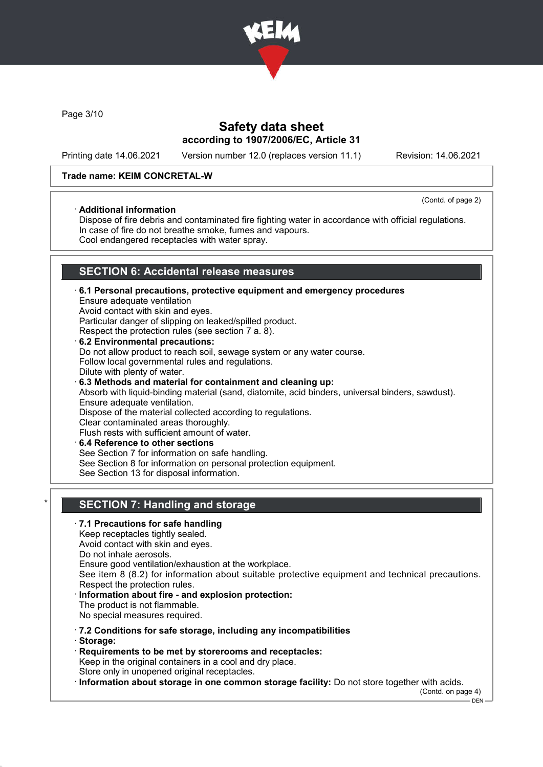

Page 3/10

# Safety data sheet according to 1907/2006/EC, Article 31

Printing date 14.06.2021 Version number 12.0 (replaces version 11.1) Revision: 14.06.2021

#### Trade name: KEIM CONCRETAL-W

#### · Additional information

(Contd. of page 2)

Dispose of fire debris and contaminated fire fighting water in accordance with official regulations. In case of fire do not breathe smoke, fumes and vapours. Cool endangered receptacles with water spray.

# SECTION 6: Accidental release measures

· 6.1 Personal precautions, protective equipment and emergency procedures Ensure adequate ventilation Avoid contact with skin and eyes. Particular danger of slipping on leaked/spilled product. Respect the protection rules (see section 7 a. 8). 6.2 Environmental precautions: Do not allow product to reach soil, sewage system or any water course. Follow local governmental rules and regulations. Dilute with plenty of water. · 6.3 Methods and material for containment and cleaning up: Absorb with liquid-binding material (sand, diatomite, acid binders, universal binders, sawdust). Ensure adequate ventilation. Dispose of the material collected according to regulations. Clear contaminated areas thoroughly.

Flush rests with sufficient amount of water. 6.4 Reference to other sections

See Section 7 for information on safe handling.

See Section 8 for information on personal protection equipment.

See Section 13 for disposal information.

# SECTION 7: Handling and storage

### · 7.1 Precautions for safe handling

Keep receptacles tightly sealed.

Avoid contact with skin and eyes. Do not inhale aerosols.

Ensure good ventilation/exhaustion at the workplace.

See item 8 (8.2) for information about suitable protective equipment and technical precautions. Respect the protection rules.

- Information about fire and explosion protection: The product is not flammable. No special measures required.
- · 7.2 Conditions for safe storage, including any incompatibilities
- · Storage:
- · Requirements to be met by storerooms and receptacles: Keep in the original containers in a cool and dry place.
- Store only in unopened original receptacles.
- · Information about storage in one common storage facility: Do not store together with acids.

(Contd. on page 4)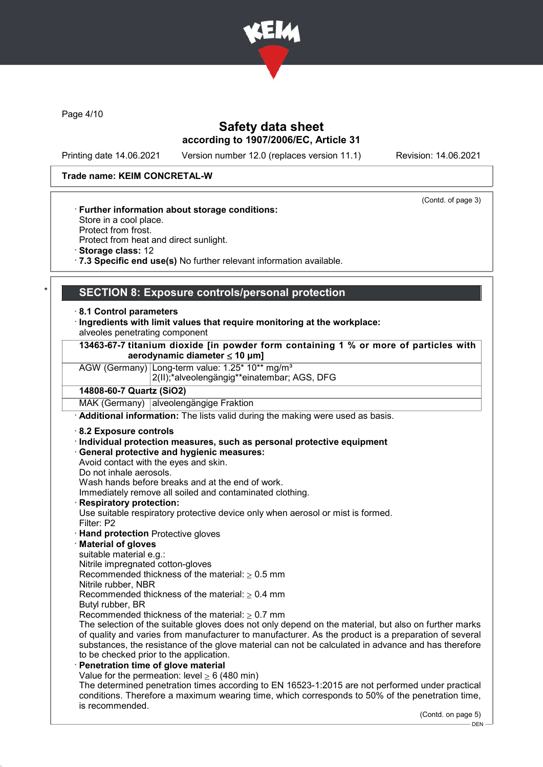

Page 4/10

# Safety data sheet according to 1907/2006/EC, Article 31

Printing date 14.06.2021 Version number 12.0 (replaces version 11.1) Revision: 14.06.2021

(Contd. of page 3)

### Trade name: KEIM CONCRETAL-W

| · Further information about storage conditions:<br>Store in a cool place.<br>Protect from frost.<br>Protect from heat and direct sunlight.<br>Storage class: 12<br>.7.3 Specific end use(s) No further relevant information available.                                                                                                                                                                                                                                                    |
|-------------------------------------------------------------------------------------------------------------------------------------------------------------------------------------------------------------------------------------------------------------------------------------------------------------------------------------------------------------------------------------------------------------------------------------------------------------------------------------------|
| <b>SECTION 8: Exposure controls/personal protection</b>                                                                                                                                                                                                                                                                                                                                                                                                                                   |
| 8.1 Control parameters<br>· Ingredients with limit values that require monitoring at the workplace:<br>alveoles penetrating component                                                                                                                                                                                                                                                                                                                                                     |
| 13463-67-7 titanium dioxide [in powder form containing 1 % or more of particles with<br>aerodynamic diameter $\leq 10$ µm]                                                                                                                                                                                                                                                                                                                                                                |
| AGW (Germany) Long-term value: 1.25* 10** mg/m <sup>3</sup><br>2(II);*alveolengängig**einatembar; AGS, DFG                                                                                                                                                                                                                                                                                                                                                                                |
| 14808-60-7 Quartz (SiO2)                                                                                                                                                                                                                                                                                                                                                                                                                                                                  |
| MAK (Germany) alveolengängige Fraktion                                                                                                                                                                                                                                                                                                                                                                                                                                                    |
| Additional information: The lists valid during the making were used as basis.                                                                                                                                                                                                                                                                                                                                                                                                             |
| · Individual protection measures, such as personal protective equipment<br>· General protective and hygienic measures:<br>Avoid contact with the eyes and skin.<br>Do not inhale aerosols.<br>Wash hands before breaks and at the end of work.<br>Immediately remove all soiled and contaminated clothing.<br><b>Respiratory protection:</b><br>Use suitable respiratory protective device only when aerosol or mist is formed.<br>Filter: P2<br><b>Hand protection Protective gloves</b> |
| · Material of gloves<br>suitable material e.g.:<br>Nitrile impregnated cotton-gloves<br>Recommended thickness of the material: $\geq 0.5$ mm<br>Nitrile rubber, NBR<br>Recommended thickness of the material: $\geq 0.4$ mm                                                                                                                                                                                                                                                               |
| Butyl rubber, BR<br>Recommended thickness of the material: $\geq 0.7$ mm<br>The selection of the suitable gloves does not only depend on the material, but also on further marks<br>of quality and varies from manufacturer to manufacturer. As the product is a preparation of several<br>substances, the resistance of the glove material can not be calculated in advance and has therefore<br>to be checked prior to the application.<br>Penetration time of glove material           |
| Value for the permeation: level $\geq 6$ (480 min)<br>The determined penetration times according to EN 16523-1:2015 are not performed under practical<br>conditions. Therefore a maximum wearing time, which corresponds to 50% of the penetration time,                                                                                                                                                                                                                                  |
| is recommended.<br>(Contd. on page 5)                                                                                                                                                                                                                                                                                                                                                                                                                                                     |
| - DEN                                                                                                                                                                                                                                                                                                                                                                                                                                                                                     |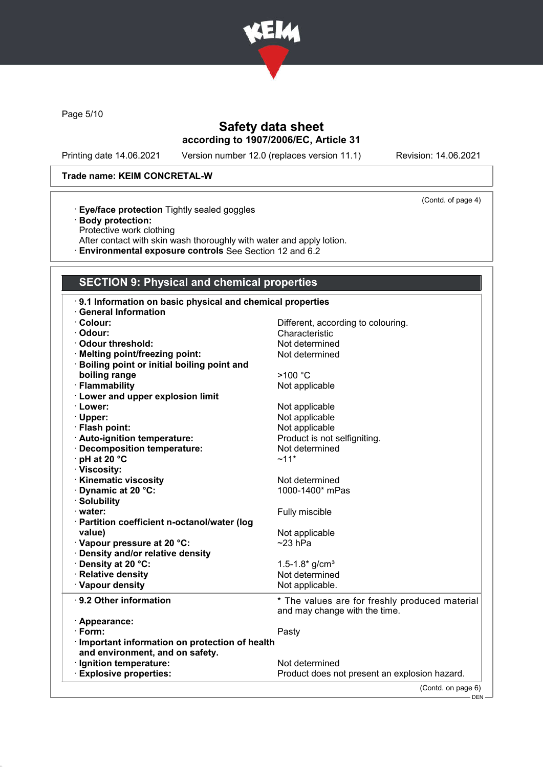

Page 5/10

# Safety data sheet according to 1907/2006/EC, Article 31

Printing date 14.06.2021 Version number 12.0 (replaces version 11.1) Revision: 14.06.2021

### Trade name: KEIM CONCRETAL-W

- · Eye/face protection Tightly sealed goggles
- · Body protection:
- Protective work clothing
- After contact with skin wash thoroughly with water and apply lotion.
- · Environmental exposure controls See Section 12 and 6.2

### SECTION 9: Physical and chemical properties

| 9.1 Information on basic physical and chemical properties |                                                |
|-----------------------------------------------------------|------------------------------------------------|
| <b>General Information</b>                                |                                                |
| · Colour:                                                 | Different, according to colouring.             |
| · Odour:                                                  | Characteristic                                 |
| · Odour threshold:                                        | Not determined                                 |
| · Melting point/freezing point:                           | Not determined                                 |
| <b>Boiling point or initial boiling point and</b>         |                                                |
| boiling range                                             | >100 °C                                        |
| · Flammability                                            | Not applicable                                 |
| · Lower and upper explosion limit                         |                                                |
| · Lower:                                                  | Not applicable                                 |
| · Upper:                                                  | Not applicable                                 |
| · Flash point:                                            | Not applicable                                 |
| · Auto-ignition temperature:                              | Product is not selfigniting.                   |
| Decomposition temperature:                                | Not determined                                 |
| $\cdot$ pH at 20 $\degree$ C                              | $~11*$                                         |
| · Viscosity:                                              |                                                |
| <b>Kinematic viscosity</b>                                | Not determined                                 |
| Dynamic at 20 °C:                                         | 1000-1400* mPas                                |
| · Solubility                                              |                                                |
| · water:                                                  | Fully miscible                                 |
| · Partition coefficient n-octanol/water (log              |                                                |
| value)                                                    | Not applicable                                 |
| · Vapour pressure at 20 °C:                               | $~23$ hPa                                      |
| · Density and/or relative density                         |                                                |
| Density at 20 °C:                                         | 1.5-1.8 $*$ g/cm <sup>3</sup>                  |
| · Relative density                                        | Not determined                                 |
| · Vapour density                                          | Not applicable.                                |
| · 9.2 Other information                                   | * The values are for freshly produced material |
|                                                           | and may change with the time.                  |
| · Appearance:                                             |                                                |
| $\cdot$ Form:                                             | Pasty                                          |
| · Important information on protection of health           |                                                |
| and environment, and on safety.                           |                                                |
| · Ignition temperature:                                   | Not determined                                 |
| <b>Explosive properties:</b>                              | Product does not present an explosion hazard.  |
|                                                           | (Contd. on page 6)                             |
|                                                           | $\rightharpoonup$ DEN                          |

(Contd. of page 4)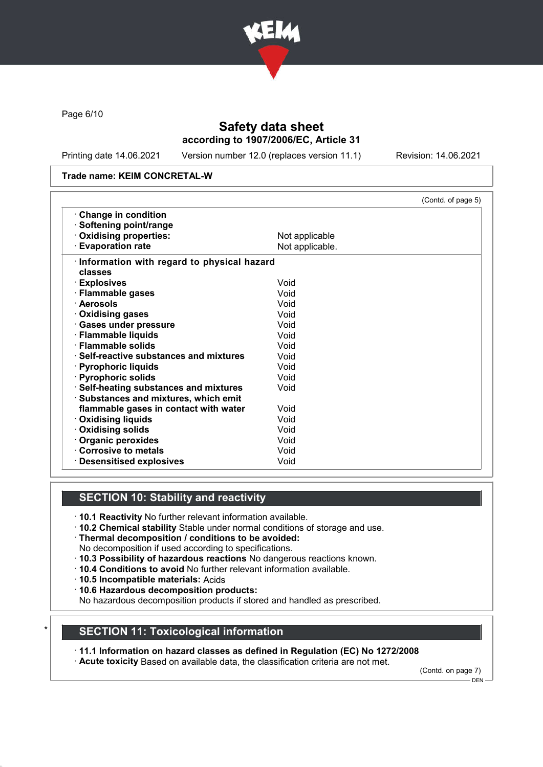

Page 6/10

# Safety data sheet according to 1907/2006/EC, Article 31

Printing date 14.06.2021 Version number 12.0 (replaces version 11.1) Revision: 14.06.2021

#### Trade name: KEIM CONCRETAL-W

|                                               | (Contd. of page 5) |
|-----------------------------------------------|--------------------|
| Change in condition                           |                    |
| · Softening point/range                       |                    |
| · Oxidising properties:                       | Not applicable     |
| <b>Evaporation rate</b>                       | Not applicable.    |
| Information with regard to physical hazard    |                    |
| classes                                       |                    |
| · Explosives                                  | Void               |
| · Flammable gases                             | Void               |
| · Aerosols                                    | Void               |
| · Oxidising gases                             | Void               |
| · Gases under pressure                        | Void               |
| · Flammable liquids                           | Void               |
| · Flammable solids                            | Void               |
| $\cdot$ Self-reactive substances and mixtures | Void               |
| · Pyrophoric liquids                          | Void               |
| · Pyrophoric solids                           | Void               |
| · Self-heating substances and mixtures        | Void               |
| · Substances and mixtures, which emit         |                    |
| flammable gases in contact with water         | Void               |
| <b>Oxidising liquids</b>                      | Void               |
| Oxidising solids                              | Void               |
| · Organic peroxides                           | Void               |
| Corrosive to metals                           | Void               |
| <b>Desensitised explosives</b>                | Void               |

# SECTION 10: Stability and reactivity

- · 10.1 Reactivity No further relevant information available.
- · 10.2 Chemical stability Stable under normal conditions of storage and use.
- · Thermal decomposition / conditions to be avoided:
- No decomposition if used according to specifications.
- · 10.3 Possibility of hazardous reactions No dangerous reactions known.
- · 10.4 Conditions to avoid No further relevant information available.
- · 10.5 Incompatible materials: Acids
- · 10.6 Hazardous decomposition products:
- No hazardous decomposition products if stored and handled as prescribed.

### **SECTION 11: Toxicological information**

· 11.1 Information on hazard classes as defined in Regulation (EC) No 1272/2008

· Acute toxicity Based on available data, the classification criteria are not met.

(Contd. on page 7)

<sup>-</sup> DEN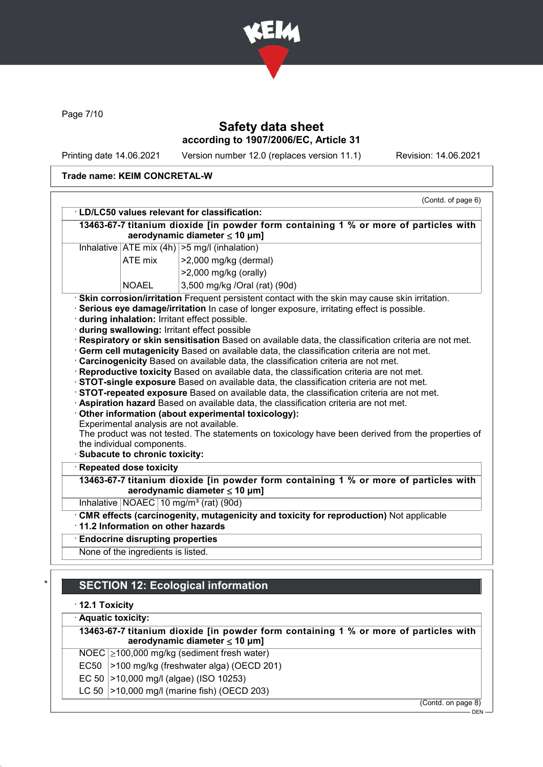

Page 7/10

# Safety data sheet according to 1907/2006/EC, Article 31

Printing date 14.06.2021 Version number 12.0 (replaces version 11.1) Revision: 14.06.2021

### Trade name: KEIM CONCRETAL-W

| 13463-67-7 titanium dioxide [in powder form containing 1 % or more of particles with<br>aerodynamic diameter $\leq 10$ µm]<br>Inhalative $ ATE \text{ mix } (4h)   > 5 \text{ mg/l } (inhalation)$<br>ATE mix<br>>2,000 mg/kg (dermal)                                                                                                                                                                                                                                                                                                                                                                                                                                                                                                                                                                                                                                                                                                                                                                                                      |
|---------------------------------------------------------------------------------------------------------------------------------------------------------------------------------------------------------------------------------------------------------------------------------------------------------------------------------------------------------------------------------------------------------------------------------------------------------------------------------------------------------------------------------------------------------------------------------------------------------------------------------------------------------------------------------------------------------------------------------------------------------------------------------------------------------------------------------------------------------------------------------------------------------------------------------------------------------------------------------------------------------------------------------------------|
|                                                                                                                                                                                                                                                                                                                                                                                                                                                                                                                                                                                                                                                                                                                                                                                                                                                                                                                                                                                                                                             |
|                                                                                                                                                                                                                                                                                                                                                                                                                                                                                                                                                                                                                                                                                                                                                                                                                                                                                                                                                                                                                                             |
|                                                                                                                                                                                                                                                                                                                                                                                                                                                                                                                                                                                                                                                                                                                                                                                                                                                                                                                                                                                                                                             |
| $>2,000$ mg/kg (orally)                                                                                                                                                                                                                                                                                                                                                                                                                                                                                                                                                                                                                                                                                                                                                                                                                                                                                                                                                                                                                     |
| 3,500 mg/kg /Oral (rat) (90d)<br>NOAEL                                                                                                                                                                                                                                                                                                                                                                                                                                                                                                                                                                                                                                                                                                                                                                                                                                                                                                                                                                                                      |
| during inhalation: Irritant effect possible.<br>during swallowing: Irritant effect possible<br>Respiratory or skin sensitisation Based on available data, the classification criteria are not met.<br>. Germ cell mutagenicity Based on available data, the classification criteria are not met.<br>· Carcinogenicity Based on available data, the classification criteria are not met.<br>· Reproductive toxicity Based on available data, the classification criteria are not met.<br>STOT-single exposure Based on available data, the classification criteria are not met.<br>STOT-repeated exposure Based on available data, the classification criteria are not met.<br>· Aspiration hazard Based on available data, the classification criteria are not met.<br>Other information (about experimental toxicology):<br>Experimental analysis are not available.<br>The product was not tested. The statements on toxicology have been derived from the properties of<br>the individual components.<br>· Subacute to chronic toxicity: |
| <b>Repeated dose toxicity</b>                                                                                                                                                                                                                                                                                                                                                                                                                                                                                                                                                                                                                                                                                                                                                                                                                                                                                                                                                                                                               |
| 13463-67-7 titanium dioxide [in powder form containing 1 % or more of particles with<br>aerodynamic diameter $\leq$ 10 µm]                                                                                                                                                                                                                                                                                                                                                                                                                                                                                                                                                                                                                                                                                                                                                                                                                                                                                                                  |
| Inhalative   NOAEC   10 mg/m <sup>3</sup> (rat) (90d)                                                                                                                                                                                                                                                                                                                                                                                                                                                                                                                                                                                                                                                                                                                                                                                                                                                                                                                                                                                       |
| · CMR effects (carcinogenity, mutagenicity and toxicity for reproduction) Not applicable<br>11.2 Information on other hazards                                                                                                                                                                                                                                                                                                                                                                                                                                                                                                                                                                                                                                                                                                                                                                                                                                                                                                               |
| <b>Endocrine disrupting properties</b>                                                                                                                                                                                                                                                                                                                                                                                                                                                                                                                                                                                                                                                                                                                                                                                                                                                                                                                                                                                                      |
| None of the ingredients is listed.                                                                                                                                                                                                                                                                                                                                                                                                                                                                                                                                                                                                                                                                                                                                                                                                                                                                                                                                                                                                          |
| Berious eye damage/irritation In case of longer exposure, irritating effect is possible.                                                                                                                                                                                                                                                                                                                                                                                                                                                                                                                                                                                                                                                                                                                                                                                                                                                                                                                                                    |

# · 12.1 Toxicity

· Aquatic toxicity:

13463-67-7 titanium dioxide [in powder form containing 1 % or more of particles with aerodynamic diameter ≤ 10 μm]

- NOEC ≥100,000 mg/kg (sediment fresh water)
- EC50  $\vert$  >100 mg/kg (freshwater alga) (OECD 201)
- EC 50 >10,000 mg/l (algae) (ISO 10253)
- LC 50  $|$  >10,000 mg/l (marine fish) (OECD 203)

(Contd. on page 8)

 $-$  DEN  $-$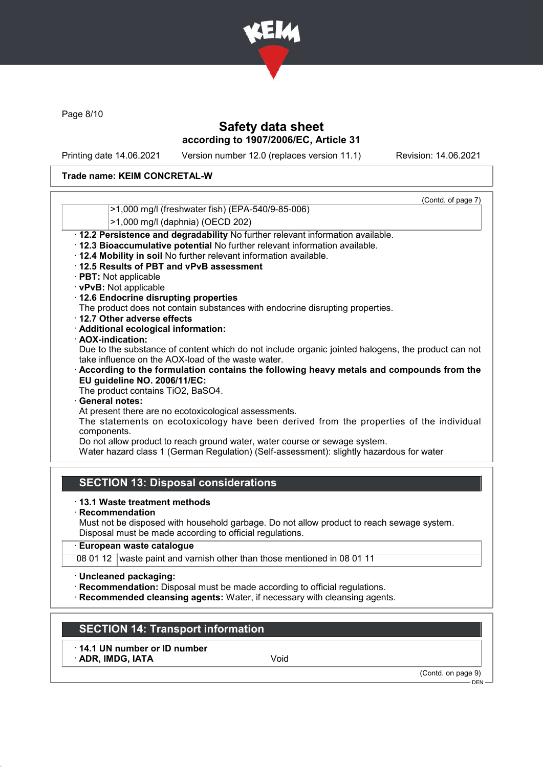

Page 8/10

# Safety data sheet according to 1907/2006/EC, Article 31

Printing date 14.06.2021 Version number 12.0 (replaces version 11.1) Revision: 14.06.2021

#### Trade name: KEIM CONCRETAL-W

| (Contd. of page 7)                                                                                 |
|----------------------------------------------------------------------------------------------------|
| >1,000 mg/l (freshwater fish) (EPA-540/9-85-006)                                                   |
| >1,000 mg/l (daphnia) (OECD 202)                                                                   |
| 12.2 Persistence and degradability No further relevant information available.                      |
| · 12.3 Bioaccumulative potential No further relevant information available.                        |
| . 12.4 Mobility in soil No further relevant information available.                                 |
| ⋅12.5 Results of PBT and vPvB assessment                                                           |
| · PBT: Not applicable                                                                              |
| · vPvB: Not applicable                                                                             |
| 12.6 Endocrine disrupting properties                                                               |
| The product does not contain substances with endocrine disrupting properties.                      |
| 12.7 Other adverse effects                                                                         |
| · Additional ecological information:                                                               |
| · AOX-indication:                                                                                  |
| Due to the substance of content which do not include organic jointed halogens, the product can not |
| take influence on the AOX-load of the waste water.                                                 |
| $\cdot$ According to the formulation contains the following heavy metals and compounds from the    |
| EU guideline NO. 2006/11/EC:                                                                       |
| The product contains TiO2, BaSO4.                                                                  |
| <b>General notes:</b>                                                                              |
| At present there are no ecotoxicological assessments.                                              |
| The statements on ecotoxicology have been derived from the properties of the individual            |
| components.<br>Do not allow product to reach ground water, water course or sewage system.          |
| Water hazard class 1 (German Regulation) (Self-assessment): slightly hazardous for water           |
|                                                                                                    |
|                                                                                                    |
| <b>SECTION 13: Disposal considerations</b>                                                         |
| ⋅13.1 Waste treatment methods                                                                      |
| $\cdot$ Recommendation                                                                             |
| Must not be disposed with beyseledd gerbege. De not ellew product to reach courage overan          |

Must not be disposed with household garbage. Do not allow product to reach sewage system. Disposal must be made according to official regulations.

#### · European waste catalogue

08 01 12 waste paint and varnish other than those mentioned in 08 01 11

· Uncleaned packaging:

- · Recommendation: Disposal must be made according to official regulations.
- · Recommended cleansing agents: Water, if necessary with cleansing agents.

### SECTION 14: Transport information

· 14.1 UN number or ID number · ADR, IMDG, IATA Void

(Contd. on page 9) DEN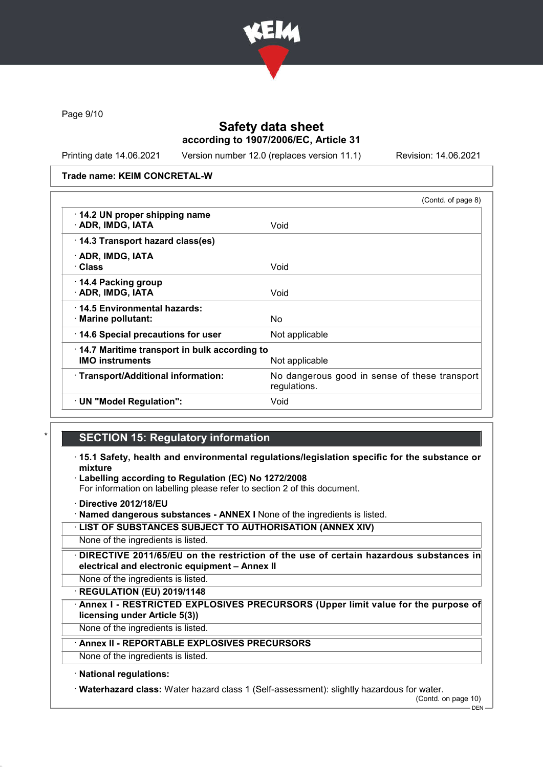

Page 9/10

# Safety data sheet according to 1907/2006/EC, Article 31

Printing date 14.06.2021 Version number 12.0 (replaces version 11.1) Revision: 14.06.2021

Trade name: KEIM CONCRETAL-W

|                                                                                | (Contd. of page 8)                                            |
|--------------------------------------------------------------------------------|---------------------------------------------------------------|
| 14.2 UN proper shipping name<br>· ADR, IMDG, IATA                              | Void                                                          |
| · 14.3 Transport hazard class(es)                                              |                                                               |
| · ADR, IMDG, IATA<br>· Class                                                   | Void                                                          |
| $\cdot$ 14.4 Packing group<br>· ADR, IMDG, IATA                                | Void                                                          |
| 14.5 Environmental hazards:<br>$\cdot$ Marine pollutant:                       | No                                                            |
| 14.6 Special precautions for user                                              | Not applicable                                                |
| $\cdot$ 14.7 Maritime transport in bulk according to<br><b>IMO instruments</b> | Not applicable                                                |
| · Transport/Additional information:                                            | No dangerous good in sense of these transport<br>regulations. |
| · UN "Model Regulation":                                                       | Void                                                          |

# **SECTION 15: Regulatory information**

- · 15.1 Safety, health and environmental regulations/legislation specific for the substance or mixture
- Labelling according to Regulation (EC) No 1272/2008

For information on labelling please refer to section 2 of this document.

· Directive 2012/18/EU

· Named dangerous substances - ANNEX I None of the ingredients is listed.

· LIST OF SUBSTANCES SUBJECT TO AUTHORISATION (ANNEX XIV)

None of the ingredients is listed.

· DIRECTIVE 2011/65/EU on the restriction of the use of certain hazardous substances in electrical and electronic equipment – Annex II

None of the ingredients is listed.

· REGULATION (EU) 2019/1148

Annex I - RESTRICTED EXPLOSIVES PRECURSORS (Upper limit value for the purpose of licensing under Article 5(3))

None of the ingredients is listed.

## Annex II - REPORTABLE EXPLOSIVES PRECURSORS

None of the ingredients is listed.

### · National regulations:

· Waterhazard class: Water hazard class 1 (Self-assessment): slightly hazardous for water.

(Contd. on page 10)